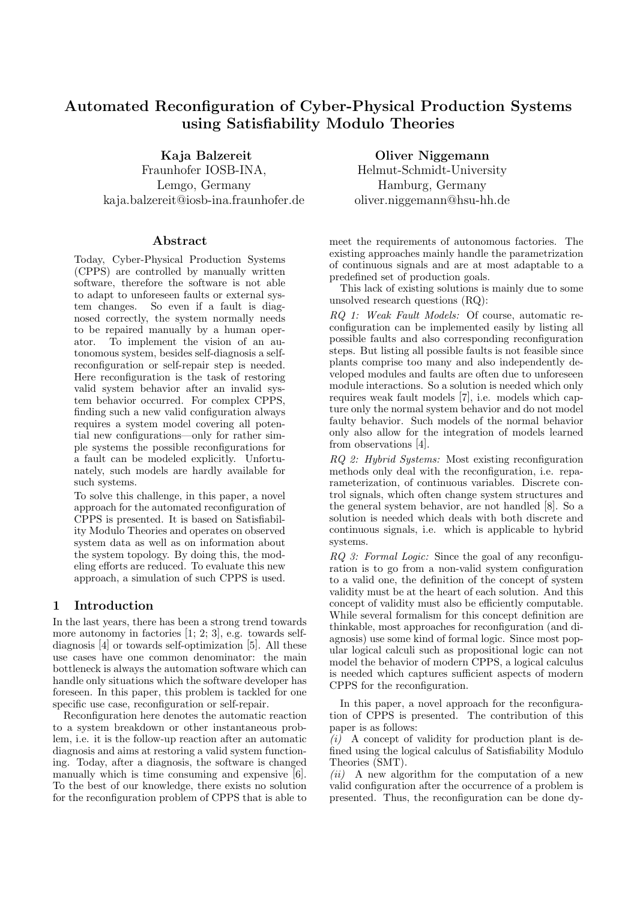# Automated Reconfiguration of Cyber-Physical Production Systems using Satisfiability Modulo Theories

Kaja Balzereit

Fraunhofer IOSB-INA, Lemgo, Germany kaja.balzereit@iosb-ina.fraunhofer.de

### Abstract

Today, Cyber-Physical Production Systems (CPPS) are controlled by manually written software, therefore the software is not able to adapt to unforeseen faults or external system changes. So even if a fault is diagnosed correctly, the system normally needs to be repaired manually by a human operator. To implement the vision of an autonomous system, besides self-diagnosis a selfreconfiguration or self-repair step is needed. Here reconfiguration is the task of restoring valid system behavior after an invalid system behavior occurred. For complex CPPS, finding such a new valid configuration always requires a system model covering all potential new configurations—only for rather simple systems the possible reconfigurations for a fault can be modeled explicitly. Unfortunately, such models are hardly available for such systems.

To solve this challenge, in this paper, a novel approach for the automated reconfiguration of CPPS is presented. It is based on Satisfiability Modulo Theories and operates on observed system data as well as on information about the system topology. By doing this, the modeling efforts are reduced. To evaluate this new approach, a simulation of such CPPS is used.

# 1 Introduction

In the last years, there has been a strong trend towards more autonomy in factories  $[1; 2; 3]$ , e.g. towards selfdiagnosis [4] or towards self-optimization [5]. All these use cases have one common denominator: the main bottleneck is always the automation software which can handle only situations which the software developer has foreseen. In this paper, this problem is tackled for one specific use case, reconfiguration or self-repair.

Reconfiguration here denotes the automatic reaction to a system breakdown or other instantaneous problem, i.e. it is the follow-up reaction after an automatic diagnosis and aims at restoring a valid system functioning. Today, after a diagnosis, the software is changed manually which is time consuming and expensive [6]. To the best of our knowledge, there exists no solution for the reconfiguration problem of CPPS that is able to

Oliver Niggemann Helmut-Schmidt-University Hamburg, Germany oliver.niggemann@hsu-hh.de

meet the requirements of autonomous factories. The existing approaches mainly handle the parametrization of continuous signals and are at most adaptable to a predefined set of production goals.

This lack of existing solutions is mainly due to some unsolved research questions (RQ):

RQ 1: Weak Fault Models: Of course, automatic reconfiguration can be implemented easily by listing all possible faults and also corresponding reconfiguration steps. But listing all possible faults is not feasible since plants comprise too many and also independently developed modules and faults are often due to unforeseen module interactions. So a solution is needed which only requires weak fault models [7], i.e. models which capture only the normal system behavior and do not model faulty behavior. Such models of the normal behavior only also allow for the integration of models learned from observations [4].

RQ 2: Hybrid Systems: Most existing reconfiguration methods only deal with the reconfiguration, i.e. reparameterization, of continuous variables. Discrete control signals, which often change system structures and the general system behavior, are not handled [8]. So a solution is needed which deals with both discrete and continuous signals, i.e. which is applicable to hybrid systems.

RQ 3: Formal Logic: Since the goal of any reconfiguration is to go from a non-valid system configuration to a valid one, the definition of the concept of system validity must be at the heart of each solution. And this concept of validity must also be efficiently computable. While several formalism for this concept definition are thinkable, most approaches for reconfiguration (and diagnosis) use some kind of formal logic. Since most popular logical calculi such as propositional logic can not model the behavior of modern CPPS, a logical calculus is needed which captures sufficient aspects of modern CPPS for the reconfiguration.

In this paper, a novel approach for the reconfiguration of CPPS is presented. The contribution of this paper is as follows:

 $(i)$  A concept of validity for production plant is defined using the logical calculus of Satisfiability Modulo Theories (SMT).

 $(ii)$  A new algorithm for the computation of a new valid configuration after the occurrence of a problem is presented. Thus, the reconfiguration can be done dy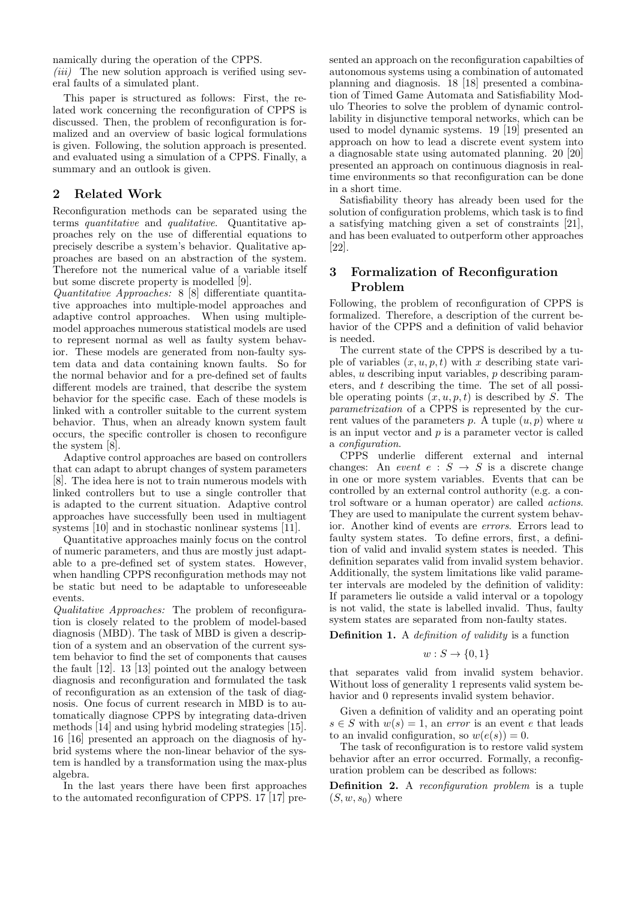namically during the operation of the CPPS.

 $(iii)$  The new solution approach is verified using several faults of a simulated plant.

This paper is structured as follows: First, the related work concerning the reconfiguration of CPPS is discussed. Then, the problem of reconfiguration is formalized and an overview of basic logical formulations is given. Following, the solution approach is presented. and evaluated using a simulation of a CPPS. Finally, a summary and an outlook is given.

# 2 Related Work

Reconfiguration methods can be separated using the terms quantitative and qualitative. Quantitative approaches rely on the use of differential equations to precisely describe a system's behavior. Qualitative approaches are based on an abstraction of the system. Therefore not the numerical value of a variable itself but some discrete property is modelled [9].

Quantitative Approaches: 8 [8] differentiate quantitative approaches into multiple-model approaches and adaptive control approaches. When using multiplemodel approaches numerous statistical models are used to represent normal as well as faulty system behavior. These models are generated from non-faulty system data and data containing known faults. So for the normal behavior and for a pre-defined set of faults different models are trained, that describe the system behavior for the specific case. Each of these models is linked with a controller suitable to the current system behavior. Thus, when an already known system fault occurs, the specific controller is chosen to reconfigure the system [8].

Adaptive control approaches are based on controllers that can adapt to abrupt changes of system parameters [8]. The idea here is not to train numerous models with linked controllers but to use a single controller that is adapted to the current situation. Adaptive control approaches have successfully been used in multiagent systems [10] and in stochastic nonlinear systems [11].

Quantitative approaches mainly focus on the control of numeric parameters, and thus are mostly just adaptable to a pre-defined set of system states. However, when handling CPPS reconfiguration methods may not be static but need to be adaptable to unforeseeable events.

Qualitative Approaches: The problem of reconfiguration is closely related to the problem of model-based diagnosis (MBD). The task of MBD is given a description of a system and an observation of the current system behavior to find the set of components that causes the fault [12]. 13 [13] pointed out the analogy between diagnosis and reconfiguration and formulated the task of reconfiguration as an extension of the task of diagnosis. One focus of current research in MBD is to automatically diagnose CPPS by integrating data-driven methods [14] and using hybrid modeling strategies [15]. 16 [16] presented an approach on the diagnosis of hybrid systems where the non-linear behavior of the system is handled by a transformation using the max-plus algebra.

In the last years there have been first approaches to the automated reconfiguration of CPPS. 17 [17] presented an approach on the reconfiguration capabilties of autonomous systems using a combination of automated planning and diagnosis. 18 [18] presented a combination of Timed Game Automata and Satisfiability Modulo Theories to solve the problem of dynamic controllability in disjunctive temporal networks, which can be used to model dynamic systems. 19 [19] presented an approach on how to lead a discrete event system into a diagnosable state using automated planning. 20 [20] presented an approach on continuous diagnosis in realtime environments so that reconfiguration can be done in a short time.

Satisfiability theory has already been used for the solution of configuration problems, which task is to find a satisfying matching given a set of constraints [21], and has been evaluated to outperform other approaches [22].

# 3 Formalization of Reconfiguration Problem

Following, the problem of reconfiguration of CPPS is formalized. Therefore, a description of the current behavior of the CPPS and a definition of valid behavior is needed.

The current state of the CPPS is described by a tuple of variables  $(x, u, p, t)$  with x describing state variables, u describing input variables, p describing parameters, and t describing the time. The set of all possible operating points  $(x, u, p, t)$  is described by S. The parametrization of a CPPS is represented by the current values of the parameters  $p$ . A tuple  $(u, p)$  where  $u$ is an input vector and  $p$  is a parameter vector is called a configuration.

CPPS underlie different external and internal changes: An *event*  $e : S \rightarrow S$  is a discrete change in one or more system variables. Events that can be controlled by an external control authority (e.g. a control software or a human operator) are called actions. They are used to manipulate the current system behavior. Another kind of events are errors. Errors lead to faulty system states. To define errors, first, a definition of valid and invalid system states is needed. This definition separates valid from invalid system behavior. Additionally, the system limitations like valid parameter intervals are modeled by the definition of validity: If parameters lie outside a valid interval or a topology is not valid, the state is labelled invalid. Thus, faulty system states are separated from non-faulty states.

Definition 1. A definition of validity is a function

$$
w: S \to \{0, 1\}
$$

that separates valid from invalid system behavior. Without loss of generality 1 represents valid system behavior and 0 represents invalid system behavior.

Given a definition of validity and an operating point  $s \in S$  with  $w(s) = 1$ , an error is an event e that leads to an invalid configuration, so  $w(e(s)) = 0$ .

The task of reconfiguration is to restore valid system behavior after an error occurred. Formally, a reconfiguration problem can be described as follows:

Definition 2. A reconfiguration problem is a tuple  $(S, w, s_0)$  where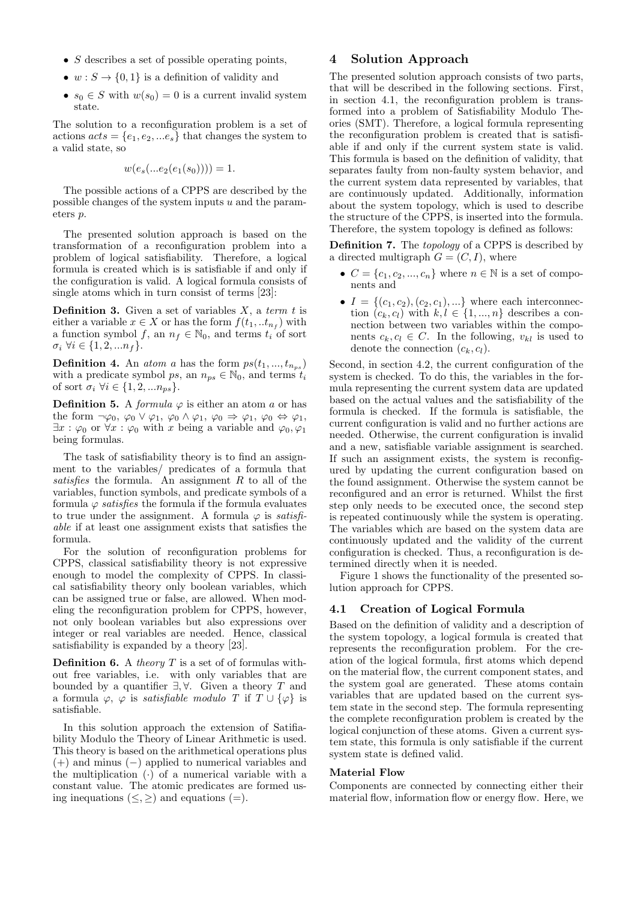- $S$  describes a set of possible operating points,
- $w: S \to \{0, 1\}$  is a definition of validity and
- $s_0 \in S$  with  $w(s_0) = 0$  is a current invalid system state.

The solution to a reconfiguration problem is a set of actions  $acts = \{e_1, e_2, \dots e_s\}$  that changes the system to a valid state, so

$$
w(e_s(...e_2(e_1(s_0))))=1.
$$

The possible actions of a CPPS are described by the possible changes of the system inputs u and the parameters p.

The presented solution approach is based on the transformation of a reconfiguration problem into a problem of logical satisfiability. Therefore, a logical formula is created which is is satisfiable if and only if the configuration is valid. A logical formula consists of single atoms which in turn consist of terms [23]:

**Definition 3.** Given a set of variables  $X$ , a term t is either a variable  $x \in X$  or has the form  $f(t_1, ... t_{n_f})$  with a function symbol f, an  $n_f \in \mathbb{N}_0$ , and terms  $t_i$  of sort  $\sigma_i \; \forall i \in \{1, 2, ..., n_f\}.$ 

**Definition 4.** An *atom a* has the form  $ps(t_1, ..., t_{n_{ps}})$ with a predicate symbol ps, an  $n_{ps} \in \mathbb{N}_0$ , and terms  $t_i$ of sort  $\sigma_i \ \forall i \in \{1, 2, \ldots n_{ps}\}.$ 

**Definition 5.** A *formula*  $\varphi$  is either an atom a or has the form  $\neg \varphi_0$ ,  $\varphi_0 \vee \varphi_1$ ,  $\varphi_0 \wedge \varphi_1$ ,  $\varphi_0 \Rightarrow \varphi_1$ ,  $\varphi_0 \Leftrightarrow \varphi_1$ ,  $\exists x : \varphi_0$  or  $\forall x : \varphi_0$  with x being a variable and  $\varphi_0, \varphi_1$ being formulas.

The task of satisfiability theory is to find an assignment to the variables/ predicates of a formula that satisfies the formula. An assignment  $R$  to all of the variables, function symbols, and predicate symbols of a formula  $\varphi$  satisfies the formula if the formula evaluates to true under the assignment. A formula  $\varphi$  is satisfiable if at least one assignment exists that satisfies the formula.

For the solution of reconfiguration problems for CPPS, classical satisfiability theory is not expressive enough to model the complexity of CPPS. In classical satisfiability theory only boolean variables, which can be assigned true or false, are allowed. When modeling the reconfiguration problem for CPPS, however, not only boolean variables but also expressions over integer or real variables are needed. Hence, classical satisfiability is expanded by a theory [23].

**Definition 6.** A *theory*  $T$  is a set of of formulas without free variables, i.e. with only variables that are bounded by a quantifier  $\exists, \forall$ . Given a theory T and a formula  $\varphi$ ,  $\varphi$  is *satisfiable modulo T* if  $T \cup {\varphi}$  is satisfiable.

In this solution approach the extension of Satifiability Modulo the Theory of Linear Arithmetic is used. This theory is based on the arithmetical operations plus (+) and minus (−) applied to numerical variables and the multiplication  $\left(\cdot\right)$  of a numerical variable with a constant value. The atomic predicates are formed using inequations  $(\leq, \geq)$  and equations (=).

# 4 Solution Approach

The presented solution approach consists of two parts, that will be described in the following sections. First, in section 4.1, the reconfiguration problem is transformed into a problem of Satisfiability Modulo Theories (SMT). Therefore, a logical formula representing the reconfiguration problem is created that is satisfiable if and only if the current system state is valid. This formula is based on the definition of validity, that separates faulty from non-faulty system behavior, and the current system data represented by variables, that are continuously updated. Additionally, information about the system topology, which is used to describe the structure of the CPPS, is inserted into the formula. Therefore, the system topology is defined as follows:

Definition 7. The topology of a CPPS is described by a directed multigraph  $G = (C, I)$ , where

- $C = \{c_1, c_2, ..., c_n\}$  where  $n \in \mathbb{N}$  is a set of components and
- $I = \{(c_1, c_2), (c_2, c_1), ...\}$  where each interconnection  $(c_k, c_l)$  with  $k, l \in \{1, ..., n\}$  describes a connection between two variables within the components  $c_k, c_l \in C$ . In the following,  $v_{kl}$  is used to denote the connection  $(c_k, c_l)$ .

Second, in section 4.2, the current configuration of the system is checked. To do this, the variables in the formula representing the current system data are updated based on the actual values and the satisfiability of the formula is checked. If the formula is satisfiable, the current configuration is valid and no further actions are needed. Otherwise, the current configuration is invalid and a new, satisfiable variable assignment is searched. If such an assignment exists, the system is reconfigured by updating the current configuration based on the found assignment. Otherwise the system cannot be reconfigured and an error is returned. Whilst the first step only needs to be executed once, the second step is repeated continuously while the system is operating. The variables which are based on the system data are continuously updated and the validity of the current configuration is checked. Thus, a reconfiguration is determined directly when it is needed.

Figure 1 shows the functionality of the presented solution approach for CPPS.

### 4.1 Creation of Logical Formula

Based on the definition of validity and a description of the system topology, a logical formula is created that represents the reconfiguration problem. For the creation of the logical formula, first atoms which depend on the material flow, the current component states, and the system goal are generated. These atoms contain variables that are updated based on the current system state in the second step. The formula representing the complete reconfiguration problem is created by the logical conjunction of these atoms. Given a current system state, this formula is only satisfiable if the current system state is defined valid.

#### Material Flow

Components are connected by connecting either their material flow, information flow or energy flow. Here, we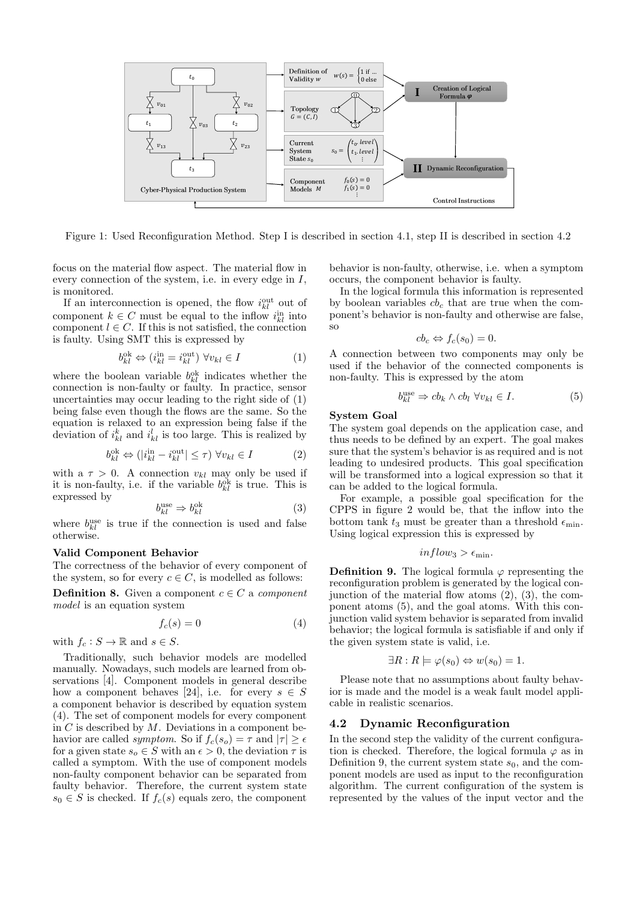

Figure 1: Used Reconfiguration Method. Step I is described in section 4.1, step II is described in section 4.2

focus on the material flow aspect. The material flow in every connection of the system, i.e. in every edge in I, is monitored.

If an interconnection is opened, the flow  $i_{kl}^{\text{out}}$  out of component  $k \in C$  must be equal to the inflow  $i_{kl}^{\text{in}}$  into component  $l \in C$ . If this is not satisfied, the connection is faulty. Using SMT this is expressed by

$$
b_{kl}^{\text{ok}} \Leftrightarrow (i_{kl}^{\text{in}} = i_{kl}^{\text{out}}) \ \forall v_{kl} \in I \tag{1}
$$

where the boolean variable  $b_{kl}^{\text{ok}}$  indicates whether the connection is non-faulty or faulty. In practice, sensor uncertainties may occur leading to the right side of (1) being false even though the flows are the same. So the equation is relaxed to an expression being false if the deviation of  $i_{kl}^k$  and  $i_{kl}^l$  is too large. This is realized by

$$
b_{kl}^{\text{ok}} \Leftrightarrow (|i_{kl}^{\text{in}} - i_{kl}^{\text{out}}| \le \tau) \ \forall v_{kl} \in I \tag{2}
$$

with a  $\tau > 0$ . A connection  $v_{kl}$  may only be used if it is non-faulty, i.e. if the variable  $b_{kl}^{\text{ok}}$  is true. This is expressed by

$$
b_{kl}^{\text{use}} \Rightarrow b_{kl}^{\text{ok}} \tag{3}
$$

where  $b_{kl}^{\text{use}}$  is true if the connection is used and false otherwise.

#### Valid Component Behavior

The correctness of the behavior of every component of the system, so for every  $c \in C$ , is modelled as follows:

**Definition 8.** Given a component  $c \in C$  a component model is an equation system

$$
f_c(s) = 0 \tag{4}
$$

with  $f_c: S \to \mathbb{R}$  and  $s \in S$ .

Traditionally, such behavior models are modelled manually. Nowadays, such models are learned from observations [4]. Component models in general describe how a component behaves [24], i.e. for every  $s \in S$ a component behavior is described by equation system (4). The set of component models for every component in  $C$  is described by  $M$ . Deviations in a component behavior are called *symptom*. So if  $f_c(s_o) = \tau$  and  $|\tau| \geq \epsilon$ for a given state  $s_o \in S$  with an  $\epsilon > 0$ , the deviation  $\tau$  is called a symptom. With the use of component models non-faulty component behavior can be separated from faulty behavior. Therefore, the current system state  $s_0 \in S$  is checked. If  $f_c(s)$  equals zero, the component behavior is non-faulty, otherwise, i.e. when a symptom occurs, the component behavior is faulty.

In the logical formula this information is represented by boolean variables  $cb<sub>c</sub>$  that are true when the component's behavior is non-faulty and otherwise are false, so

$$
cb_c \Leftrightarrow f_c(s_0) = 0.
$$

A connection between two components may only be used if the behavior of the connected components is non-faulty. This is expressed by the atom

$$
b_{kl}^{\text{use}} \Rightarrow cb_k \wedge cb_l \ \forall v_{kl} \in I. \tag{5}
$$

#### System Goal

The system goal depends on the application case, and thus needs to be defined by an expert. The goal makes sure that the system's behavior is as required and is not leading to undesired products. This goal specification will be transformed into a logical expression so that it can be added to the logical formula.

For example, a possible goal specification for the CPPS in figure 2 would be, that the inflow into the bottom tank  $t_3$  must be greater than a threshold  $\epsilon_{\min}$ . Using logical expression this is expressed by

$$
inflow_3 > \epsilon_{\min}.
$$

**Definition 9.** The logical formula  $\varphi$  representing the reconfiguration problem is generated by the logical conjunction of the material flow atoms (2), (3), the component atoms (5), and the goal atoms. With this conjunction valid system behavior is separated from invalid behavior; the logical formula is satisfiable if and only if the given system state is valid, i.e.

$$
\exists R: R \models \varphi(s_0) \Leftrightarrow w(s_0) = 1.
$$

Please note that no assumptions about faulty behavior is made and the model is a weak fault model applicable in realistic scenarios.

### 4.2 Dynamic Reconfiguration

In the second step the validity of the current configuration is checked. Therefore, the logical formula  $\varphi$  as in Definition 9, the current system state  $s_0$ , and the component models are used as input to the reconfiguration algorithm. The current configuration of the system is represented by the values of the input vector and the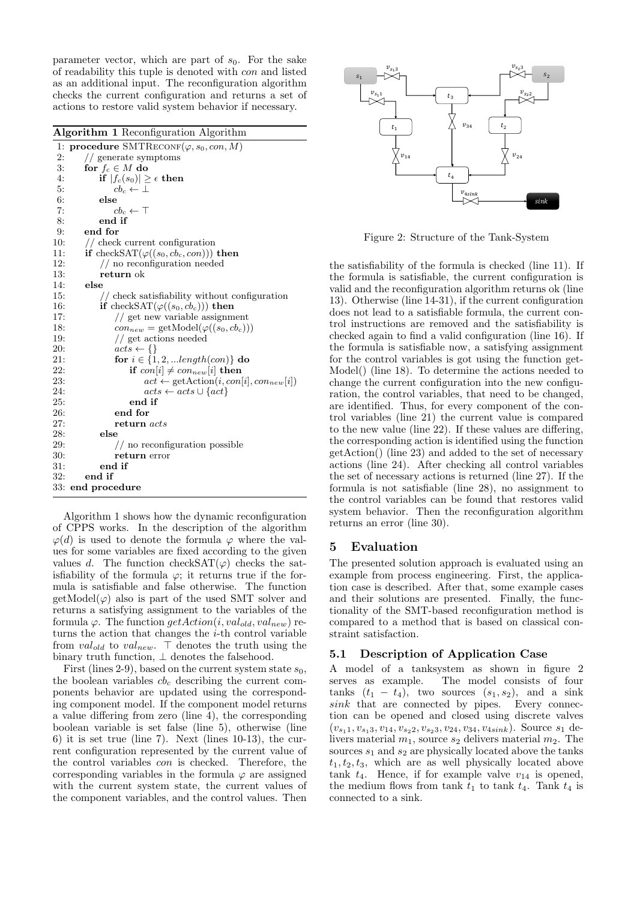parameter vector, which are part of  $s_0$ . For the sake of readability this tuple is denoted with con and listed as an additional input. The reconfiguration algorithm checks the current configuration and returns a set of actions to restore valid system behavior if necessary.

| <b>Algorithm 1</b> Reconfiguration Algorithm |                                                                                   |
|----------------------------------------------|-----------------------------------------------------------------------------------|
|                                              | 1: procedure SMTRECONF( $\varphi$ , s <sub>0</sub> , con, M)                      |
| 2:                                           | // generate symptoms                                                              |
| 3:                                           | for $f_c \in M$ do                                                                |
| 4:                                           | $\textbf{if}\hspace{0.1cm}  f_c(s_0)  \geq \epsilon \hspace{0.1cm} \textbf{then}$ |
| 5:                                           | $cb_c \leftarrow \perp$                                                           |
| 6:                                           | else                                                                              |
| 7:                                           | $cb_c \leftarrow \top$                                                            |
| 8:                                           | end if                                                                            |
| 9:                                           | end for                                                                           |
| 10:                                          | // check current configuration                                                    |
| 11:                                          | if checkSAT $(\varphi((s_0, cb_c, con)))$ then                                    |
| 12:                                          | $//$ no reconfiguration needed                                                    |
| 13:                                          | return ok                                                                         |
| 14:                                          | $_{\rm else}$                                                                     |
| 15:                                          | // check satisfiability without configuration                                     |
| 16:                                          | if checkSAT $(\varphi((s_0, cb_c)))$ then                                         |
| 17:                                          | // get new variable assignment                                                    |
| 18:                                          | $con_{new} = \text{getModel}(\varphi((s_0, cb_c)))$                               |
| 19:                                          | // get actions needed                                                             |
| 20:                                          | $acts \leftarrow \{\}$                                                            |
| 21:                                          | for $i \in \{1, 2, \ldots length(con)\}\$ do                                      |
| 22:                                          | if $con[i] \neq con_{new}[i]$ then                                                |
| 23:                                          | $act \leftarrow getAction(i, con[i], conn_{new}[i])$                              |
| 24:                                          | $acts \leftarrow acts \cup \{act\}$                                               |
| 25:                                          | end if                                                                            |
| 26:                                          | end for                                                                           |
| 27:                                          | return acts                                                                       |
| 28:                                          | else                                                                              |
| 29:                                          | $//$ no reconfiguration possible                                                  |
| 30:                                          | return error                                                                      |
| 31:                                          | end if                                                                            |
| 32:                                          | end if                                                                            |
|                                              | 33: end procedure                                                                 |

Algorithm 1 shows how the dynamic reconfiguration of CPPS works. In the description of the algorithm  $\varphi(d)$  is used to denote the formula  $\varphi$  where the values for some variables are fixed according to the given values d. The function checkSAT( $\varphi$ ) checks the satisfiability of the formula  $\varphi$ ; it returns true if the formula is satisfiable and false otherwise. The function  $getModel(\varphi)$  also is part of the used SMT solver and returns a satisfying assignment to the variables of the formula  $\varphi$ . The function  $getAction(i, val_{old}, val_{new})$  returns the action that changes the i-th control variable from  $val_{old}$  to  $val_{new}$ .  $\top$  denotes the truth using the binary truth function,  $\perp$  denotes the falsehood.

First (lines 2-9), based on the current system state  $s_0$ , the boolean variables  $cb<sub>c</sub>$  describing the current components behavior are updated using the corresponding component model. If the component model returns a value differing from zero (line 4), the corresponding boolean variable is set false (line 5), otherwise (line 6) it is set true (line 7). Next (lines  $10-13$ ), the current configuration represented by the current value of the control variables con is checked. Therefore, the corresponding variables in the formula  $\varphi$  are assigned with the current system state, the current values of the component variables, and the control values. Then



Figure 2: Structure of the Tank-System

the satisfiability of the formula is checked (line 11). If the formula is satisfiable, the current configuration is valid and the reconfiguration algorithm returns ok (line 13). Otherwise (line 14-31), if the current configuration does not lead to a satisfiable formula, the current control instructions are removed and the satisfiability is checked again to find a valid configuration (line 16). If the formula is satisfiable now, a satisfying assignment for the control variables is got using the function get-Model() (line 18). To determine the actions needed to change the current configuration into the new configuration, the control variables, that need to be changed, are identified. Thus, for every component of the control variables (line 21) the current value is compared to the new value (line 22). If these values are differing, the corresponding action is identified using the function getAction() (line 23) and added to the set of necessary actions (line 24). After checking all control variables the set of necessary actions is returned (line 27). If the formula is not satisfiable (line 28), no assignment to the control variables can be found that restores valid system behavior. Then the reconfiguration algorithm returns an error (line 30).

# 5 Evaluation

The presented solution approach is evaluated using an example from process engineering. First, the application case is described. After that, some example cases and their solutions are presented. Finally, the functionality of the SMT-based reconfiguration method is compared to a method that is based on classical constraint satisfaction.

#### 5.1 Description of Application Case

A model of a tanksystem as shown in figure 2 serves as example. The model consists of four tanks  $(t_1 - t_4)$ , two sources  $(s_1, s_2)$ , and a sink sink that are connected by pipes. Every connection can be opened and closed using discrete valves  $(v_{s_11}, v_{s_13}, v_{14}, v_{s_22}, v_{s_23}, v_{24}, v_{34}, v_{4sink})$ . Source  $s_1$  delivers material  $m_1$ , source  $s_2$  delivers material  $m_2$ . The sources  $s_1$  and  $s_2$  are physically located above the tanks  $t_1, t_2, t_3$ , which are as well physically located above tank  $t_4$ . Hence, if for example valve  $v_{14}$  is opened, the medium flows from tank  $t_1$  to tank  $t_4$ . Tank  $t_4$  is connected to a sink.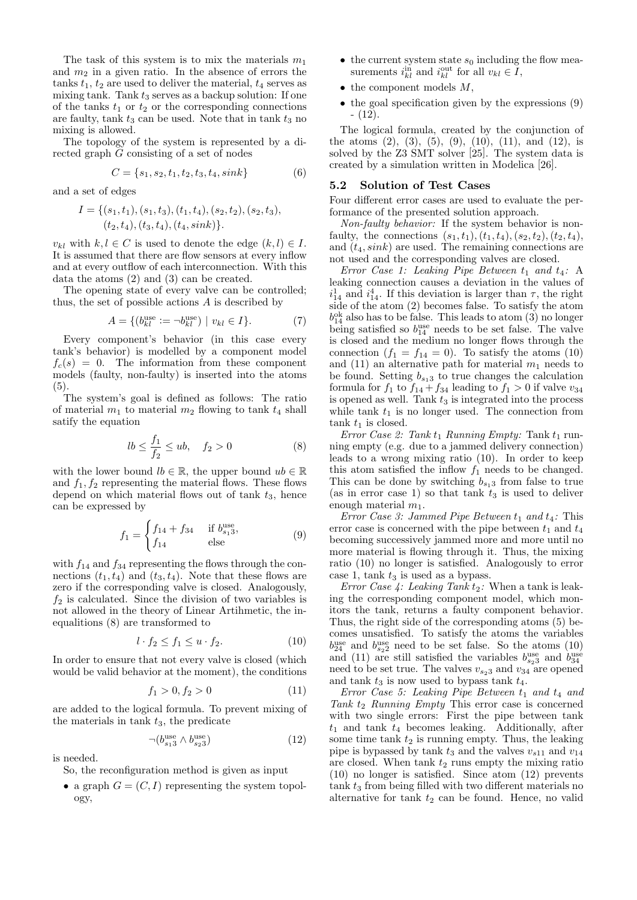The task of this system is to mix the materials  $m_1$ and  $m_2$  in a given ratio. In the absence of errors the tanks  $t_1$ ,  $t_2$  are used to deliver the material,  $t_4$  serves as mixing tank. Tank  $t_3$  serves as a backup solution: If one of the tanks  $t_1$  or  $t_2$  or the corresponding connections are faulty, tank  $t_3$  can be used. Note that in tank  $t_3$  no mixing is allowed.

The topology of the system is represented by a directed graph G consisting of a set of nodes

$$
C = \{s_1, s_2, t_1, t_2, t_3, t_4, sink\}
$$
 (6)

and a set of edges

$$
I = \{ (s_1, t_1), (s_1, t_3), (t_1, t_4), (s_2, t_2), (s_2, t_3), (t_2, t_4), (t_3, t_4), (t_4, sink) \}.
$$

 $v_{kl}$  with  $k, l \in C$  is used to denote the edge  $(k, l) \in I$ . It is assumed that there are flow sensors at every inflow and at every outflow of each interconnection. With this data the atoms (2) and (3) can be created.

The opening state of every valve can be controlled; thus, the set of possible actions A is described by

$$
A = \{ (b_{kl}^{\text{use}} := \neg b_{kl}^{\text{use}}) \mid v_{kl} \in I \}. \tag{7}
$$

Every component's behavior (in this case every tank's behavior) is modelled by a component model  $f_c(s) = 0$ . The information from these component models (faulty, non-faulty) is inserted into the atoms (5).

The system's goal is defined as follows: The ratio of material  $m_1$  to material  $m_2$  flowing to tank  $t_4$  shall satify the equation

$$
lb \le \frac{f_1}{f_2} \le ub, \quad f_2 > 0 \tag{8}
$$

with the lower bound  $lb \in \mathbb{R}$ , the upper bound  $ub \in \mathbb{R}$ and  $f_1, f_2$  representing the material flows. These flows depend on which material flows out of tank  $t_3$ , hence can be expressed by

$$
f_1 = \begin{cases} f_{14} + f_{34} & \text{if } b_{s_1 3}^{\text{use}}, \\ f_{14} & \text{else} \end{cases}
$$
 (9)

with  $f_{14}$  and  $f_{34}$  representing the flows through the connections  $(t_1, t_4)$  and  $(t_3, t_4)$ . Note that these flows are zero if the corresponding valve is closed. Analogously,  $f_2$  is calculated. Since the division of two variables is not allowed in the theory of Linear Artihmetic, the inequalitions (8) are transformed to

$$
l \cdot f_2 \le f_1 \le u \cdot f_2. \tag{10}
$$

In order to ensure that not every valve is closed (which would be valid behavior at the moment), the conditions

$$
f_1 > 0, f_2 > 0 \tag{11}
$$

are added to the logical formula. To prevent mixing of the materials in tank  $t_3$ , the predicate

$$
\neg (b_{s_13}^{\text{use}} \land b_{s_23}^{\text{use}}) \tag{12}
$$

is needed.

So, the reconfiguration method is given as input

• a graph  $G = (C, I)$  representing the system topology,

- the current system state  $s_0$  including the flow measurements  $i_{kl}^{\text{in}}$  and  $i_{kl}^{\text{out}}$  for all  $v_{kl} \in I$ ,
- $\bullet$  the component models  $M$ ,
- the goal specification given by the expressions  $(9)$  $- (12)$ .

The logical formula, created by the conjunction of the atoms  $(2)$ ,  $(3)$ ,  $(5)$ ,  $(9)$ ,  $(10)$ ,  $(11)$ , and  $(12)$ , is solved by the Z3 SMT solver [25]. The system data is created by a simulation written in Modelica [26].

#### 5.2 Solution of Test Cases

Four different error cases are used to evaluate the performance of the presented solution approach.

Non-faulty behavior: If the system behavior is nonfaulty, the connections  $(s_1, t_1), (t_1, t_4), (s_2, t_2), (t_2, t_4),$ and  $(t_4, sink)$  are used. The remaining connections are not used and the corresponding valves are closed.

Error Case 1: Leaking Pipe Between  $t_1$  and  $t_4$ : A leaking connection causes a deviation in the values of  $i_{14}$  and  $i_{14}^4$ . If this deviation is larger than  $\tau$ , the right side of the atom (2) becomes false. To satisfy the atom  $b_{14}^{\text{ok}}$  also has to be false. This leads to atom  $(3)$  no longer being satisfied so  $b_{14}^{\text{use}}$  needs to be set false. The valve is closed and the medium no longer flows through the connection  $(f_1 = f_{14} = 0)$ . To satisfy the atoms  $(10)$ and (11) an alternative path for material  $m_1$  needs to be found. Setting  $b_{s_13}$  to true changes the calculation formula for  $f_1$  to  $f_{14} + f_{34}$  leading to  $f_1 > 0$  if valve  $v_{34}$ is opened as well. Tank  $t_3$  is integrated into the process while tank  $t_1$  is no longer used. The connection from  $t_1$  is closed.

Error Case 2: Tank  $t_1$  Running Empty: Tank  $t_1$  running empty (e.g. due to a jammed delivery connection) leads to a wrong mixing ratio (10). In order to keep this atom satisfied the inflow  $f_1$  needs to be changed. This can be done by switching  $b_{s_13}$  from false to true (as in error case 1) so that tank  $t_3$  is used to deliver enough material  $m_1$ .

Error Case 3: Jammed Pipe Between  $t_1$  and  $t_4$ : This error case is concerned with the pipe between  $t_1$  and  $t_4$ becoming successively jammed more and more until no more material is flowing through it. Thus, the mixing ratio (10) no longer is satisfied. Analogously to error case 1, tank  $t_3$  is used as a bypass.

Error Case 4: Leaking Tank  $t_2$ : When a tank is leaking the corresponding component model, which monitors the tank, returns a faulty component behavior. Thus, the right side of the corresponding atoms (5) becomes unsatisfied. To satisfy the atoms the variables  $b_{24}^{\mathrm{use}}$  and  $b_{s_22}^{\mathrm{use}}$  need to be set false. So the atoms (10) and (11) are still satisfied the variables  $b_{s_2}^{\text{use}}$  and  $b_{34}^{\text{use}}$ need to be set true. The valves  $v_{s_23}$  and  $v_{34}$  are opened and tank  $t_3$  is now used to bypass tank  $t_4$ .

Error Case 5: Leaking Pipe Between  $t_1$  and  $t_4$  and Tank  $t_2$  Running Empty This error case is concerned with two single errors: First the pipe between tank  $t_1$  and tank  $t_4$  becomes leaking. Additionally, after some time tank  $t_2$  is running empty. Thus, the leaking pipe is bypassed by tank  $t_3$  and the valves  $v_{s11}$  and  $v_{14}$ are closed. When tank  $t_2$  runs empty the mixing ratio (10) no longer is satisfied. Since atom (12) prevents  $t_3$  from being filled with two different materials no alternative for tank  $t_2$  can be found. Hence, no valid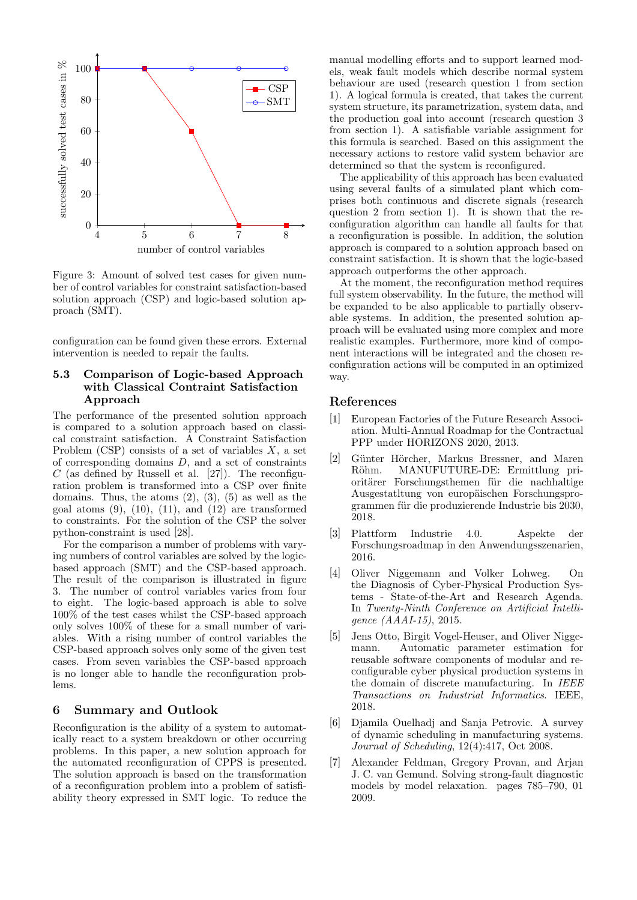

Figure 3: Amount of solved test cases for given number of control variables for constraint satisfaction-based solution approach (CSP) and logic-based solution approach (SMT).

configuration can be found given these errors. External intervention is needed to repair the faults.

# 5.3 Comparison of Logic-based Approach with Classical Contraint Satisfaction Approach

The performance of the presented solution approach is compared to a solution approach based on classical constraint satisfaction. A Constraint Satisfaction Problem (CSP) consists of a set of variables  $X$ , a set of corresponding domains D, and a set of constraints  $C$  (as defined by Russell et al. [27]). The reconfiguration problem is transformed into a CSP over finite domains. Thus, the atoms  $(2)$ ,  $(3)$ ,  $(5)$  as well as the goal atoms  $(9)$ ,  $(10)$ ,  $(11)$ , and  $(12)$  are transformed to constraints. For the solution of the CSP the solver python-constraint is used [28].

For the comparison a number of problems with varying numbers of control variables are solved by the logicbased approach (SMT) and the CSP-based approach. The result of the comparison is illustrated in figure 3. The number of control variables varies from four to eight. The logic-based approach is able to solve 100% of the test cases whilst the CSP-based approach only solves 100% of these for a small number of variables. With a rising number of control variables the CSP-based approach solves only some of the given test cases. From seven variables the CSP-based approach is no longer able to handle the reconfiguration problems.

# 6 Summary and Outlook

Reconfiguration is the ability of a system to automatically react to a system breakdown or other occurring problems. In this paper, a new solution approach for the automated reconfiguration of CPPS is presented. The solution approach is based on the transformation of a reconfiguration problem into a problem of satisfiability theory expressed in SMT logic. To reduce the

manual modelling efforts and to support learned models, weak fault models which describe normal system behaviour are used (research question 1 from section 1). A logical formula is created, that takes the current system structure, its parametrization, system data, and the production goal into account (research question 3 from section 1). A satisfiable variable assignment for this formula is searched. Based on this assignment the necessary actions to restore valid system behavior are determined so that the system is reconfigured.

The applicability of this approach has been evaluated using several faults of a simulated plant which comprises both continuous and discrete signals (research question 2 from section 1). It is shown that the reconfiguration algorithm can handle all faults for that a reconfiguration is possible. In addition, the solution approach is compared to a solution approach based on constraint satisfaction. It is shown that the logic-based approach outperforms the other approach.

At the moment, the reconfiguration method requires full system observability. In the future, the method will be expanded to be also applicable to partially observable systems. In addition, the presented solution approach will be evaluated using more complex and more realistic examples. Furthermore, more kind of component interactions will be integrated and the chosen reconfiguration actions will be computed in an optimized way.

# References

- [1] European Factories of the Future Research Association. Multi-Annual Roadmap for the Contractual PPP under HORIZONS 2020, 2013.
- [2] Günter Hörcher, Markus Bressner, and Maren Röhm. MANUFUTURE-DE: Ermittlung prioritärer Forschungsthemen für die nachhaltige Ausgestatltung von europäischen Forschungsprogrammen für die produzierende Industrie bis 2030, 2018.
- [3] Plattform Industrie 4.0. Aspekte der Forschungsroadmap in den Anwendungsszenarien, 2016.
- [4] Oliver Niggemann and Volker Lohweg. On the Diagnosis of Cyber-Physical Production Systems - State-of-the-Art and Research Agenda. In Twenty-Ninth Conference on Artificial Intelligence (AAAI-15), 2015.
- [5] Jens Otto, Birgit Vogel-Heuser, and Oliver Niggemann. Automatic parameter estimation for reusable software components of modular and reconfigurable cyber physical production systems in the domain of discrete manufacturing. In IEEE Transactions on Industrial Informatics. IEEE, 2018.
- [6] Djamila Ouelhadj and Sanja Petrovic. A survey of dynamic scheduling in manufacturing systems. Journal of Scheduling, 12(4):417, Oct 2008.
- [7] Alexander Feldman, Gregory Provan, and Arjan J. C. van Gemund. Solving strong-fault diagnostic models by model relaxation. pages 785–790, 01 2009.